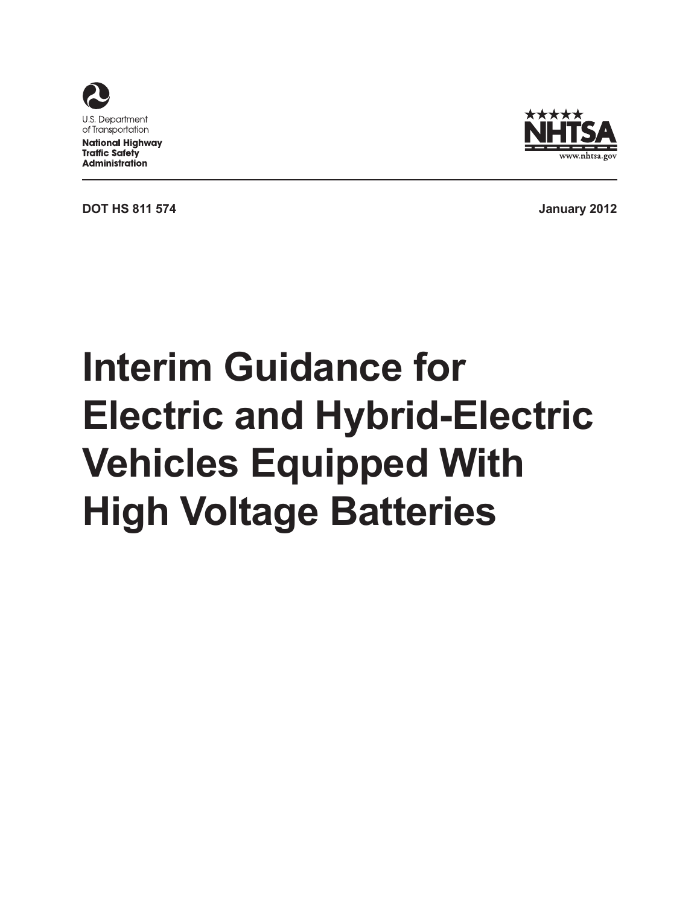



**DOT HS 811 574 January 2012**

# **Interim Guidance for Electric and Hybrid-Electric Vehicles Equipped With High Voltage Batteries**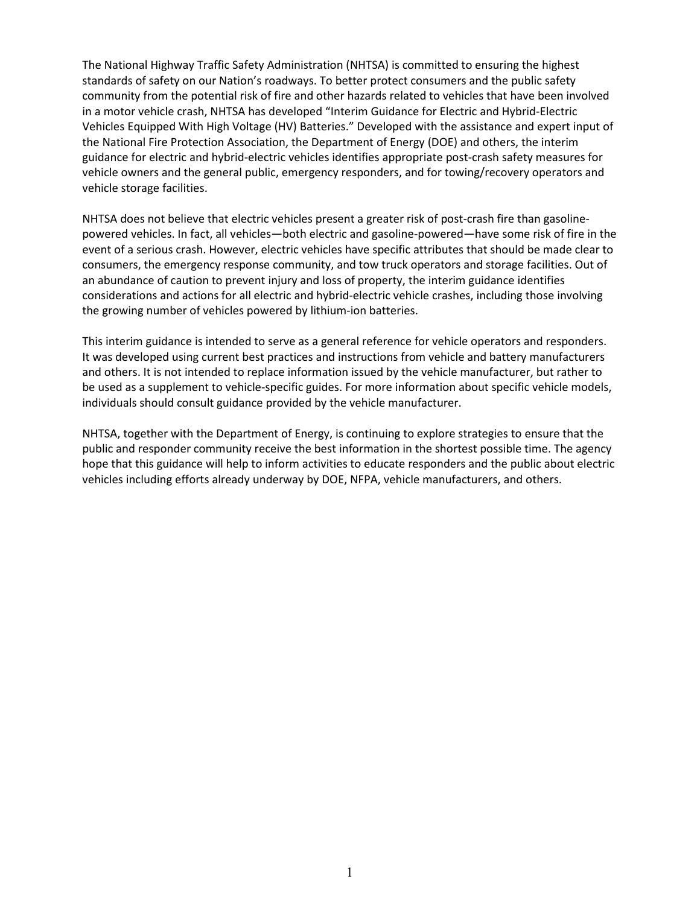The National Highway Traffic Safety Administration (NHTSA) is committed to ensuring the highest standards of safety on our Nation's roadways. To better protect consumers and the public safety community from the potential risk of fire and other hazards related to vehicles that have been involved in a motor vehicle crash, NHTSA has developed "Interim Guidance for Electric and Hybrid-Electric Vehicles Equipped With High Voltage (HV) Batteries." Developed with the assistance and expert input of the National Fire Protection Association, the Department of Energy (DOE) and others, the interim guidance for electric and hybrid-electric vehicles identifies appropriate post-crash safety measures for vehicle owners and the general public, emergency responders, and for towing/recovery operators and vehicle storage facilities.

NHTSA does not believe that electric vehicles present a greater risk of post-crash fire than gasolinepowered vehicles. In fact, all vehicles—both electric and gasoline-powered—have some risk of fire in the event of a serious crash. However, electric vehicles have specific attributes that should be made clear to consumers, the emergency response community, and tow truck operators and storage facilities. Out of an abundance of caution to prevent injury and loss of property, the interim guidance identifies considerations and actions for all electric and hybrid-electric vehicle crashes, including those involving the growing number of vehicles powered by lithium-ion batteries.

This interim guidance is intended to serve as a general reference for vehicle operators and responders. It was developed using current best practices and instructions from vehicle and battery manufacturers and others. It is not intended to replace information issued by the vehicle manufacturer, but rather to be used as a supplement to vehicle-specific guides. For more information about specific vehicle models, individuals should consult guidance provided by the vehicle manufacturer.

NHTSA, together with the Department of Energy, is continuing to explore strategies to ensure that the public and responder community receive the best information in the shortest possible time. The agency hope that this guidance will help to inform activities to educate responders and the public about electric vehicles including efforts already underway by DOE, NFPA, vehicle manufacturers, and others.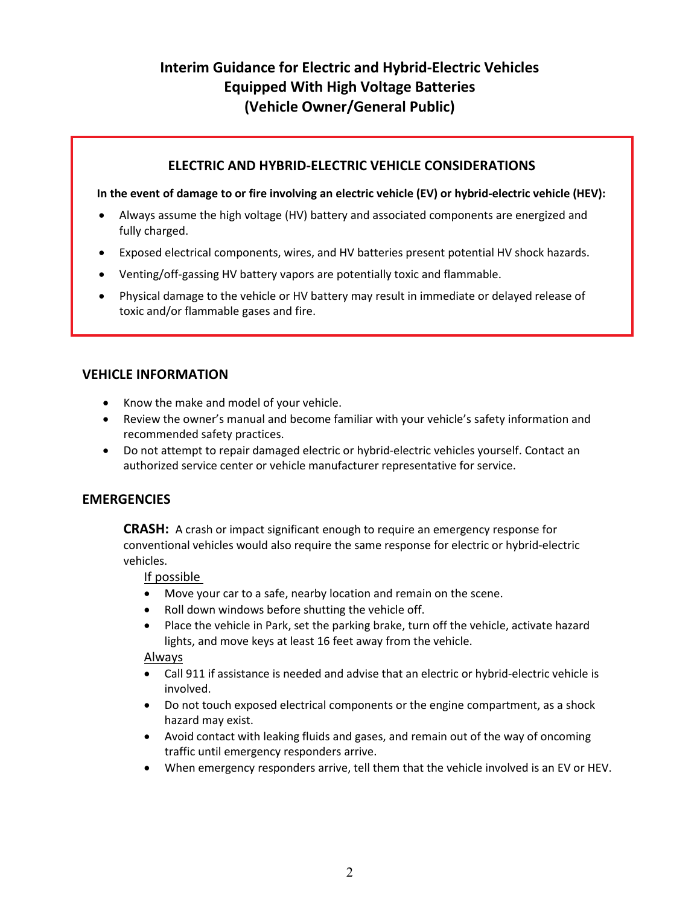# **Interim Guidance for Electric and Hybrid-Electric Vehicles Equipped With High Voltage Batteries (Vehicle Owner/General Public)**

#### **ELECTRIC AND HYBRID-ELECTRIC VEHICLE CONSIDERATIONS**

#### **In the event of damage to or fire involving an electric vehicle (EV) or hybrid-electric vehicle (HEV):**

- Always assume the high voltage (HV) battery and associated components are energized and fully charged.
- Exposed electrical components, wires, and HV batteries present potential HV shock hazards.
- Venting/off-gassing HV battery vapors are potentially toxic and flammable.
- Physical damage to the vehicle or HV battery may result in immediate or delayed release of toxic and/or flammable gases and fire.

#### **VEHICLE INFORMATION**

- Know the make and model of your vehicle.
- Review the owner's manual and become familiar with your vehicle's safety information and recommended safety practices.
- Do not attempt to repair damaged electric or hybrid-electric vehicles yourself. Contact an authorized service center or vehicle manufacturer representative for service.

#### **EMERGENCIES**

**CRASH:** A crash or impact significant enough to require an emergency response for conventional vehicles would also require the same response for electric or hybrid-electric vehicles.

#### If possible

- Move your car to a safe, nearby location and remain on the scene.
- Roll down windows before shutting the vehicle off.
- Place the vehicle in Park, set the parking brake, turn off the vehicle, activate hazard lights, and move keys at least 16 feet away from the vehicle.

#### Always

- Call 911 if assistance is needed and advise that an electric or hybrid-electric vehicle is involved.
- Do not touch exposed electrical components or the engine compartment, as a shock hazard may exist.
- Avoid contact with leaking fluids and gases, and remain out of the way of oncoming traffic until emergency responders arrive.
- When emergency responders arrive, tell them that the vehicle involved is an EV or HEV.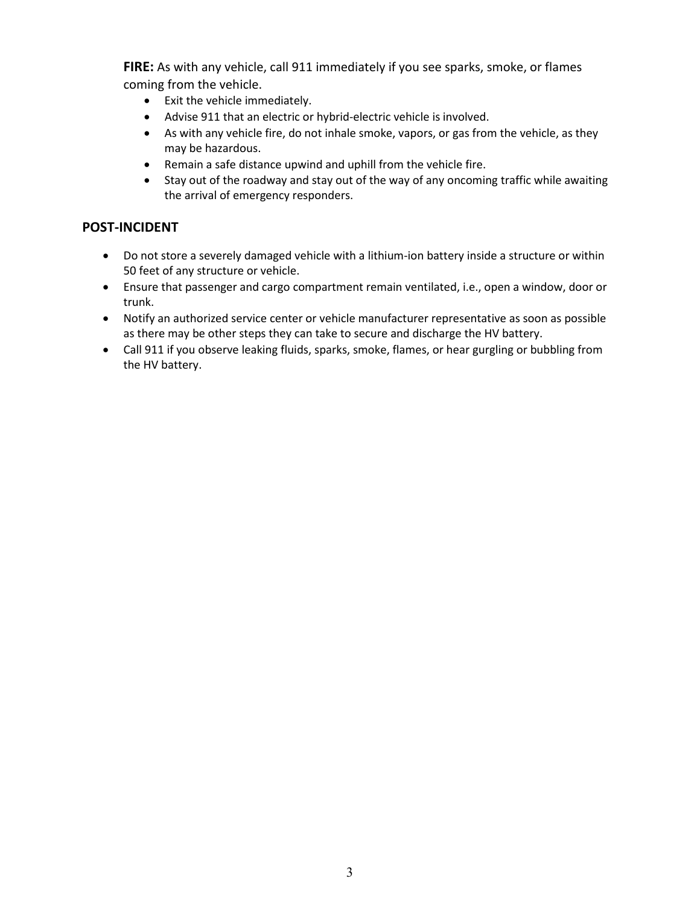**FIRE:** As with any vehicle, call 911 immediately if you see sparks, smoke, or flames coming from the vehicle.

- Exit the vehicle immediately.
- Advise 911 that an electric or hybrid-electric vehicle is involved.
- As with any vehicle fire, do not inhale smoke, vapors, or gas from the vehicle, as they may be hazardous.
- Remain a safe distance upwind and uphill from the vehicle fire.
- Stay out of the roadway and stay out of the way of any oncoming traffic while awaiting the arrival of emergency responders.

- Do not store a severely damaged vehicle with a lithium-ion battery inside a structure or within 50 feet of any structure or vehicle.
- Ensure that passenger and cargo compartment remain ventilated, i.e., open a window, door or trunk.
- Notify an authorized service center or vehicle manufacturer representative as soon as possible as there may be other steps they can take to secure and discharge the HV battery.
- Call 911 if you observe leaking fluids, sparks, smoke, flames, or hear gurgling or bubbling from the HV battery.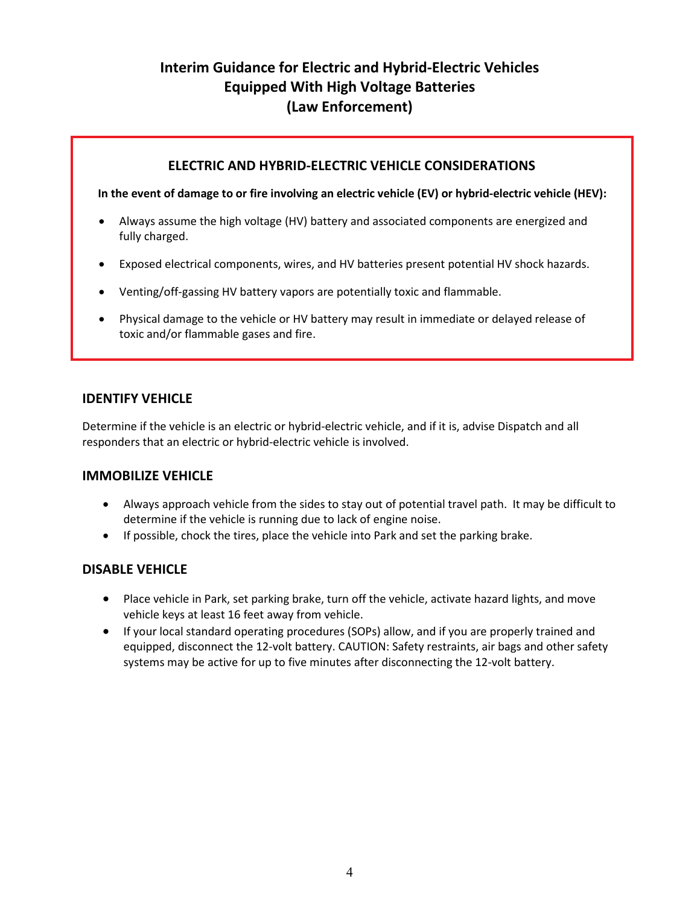# **Interim Guidance for Electric and Hybrid-Electric Vehicles Equipped With High Voltage Batteries (Law Enforcement)**

#### **ELECTRIC AND HYBRID-ELECTRIC VEHICLE CONSIDERATIONS**

**In the event of damage to or fire involving an electric vehicle (EV) or hybrid-electric vehicle (HEV):**

- Always assume the high voltage (HV) battery and associated components are energized and fully charged.
- Exposed electrical components, wires, and HV batteries present potential HV shock hazards.
- Venting/off-gassing HV battery vapors are potentially toxic and flammable.
- Physical damage to the vehicle or HV battery may result in immediate or delayed release of toxic and/or flammable gases and fire.

#### **IDENTIFY VEHICLE**

Determine if the vehicle is an electric or hybrid-electric vehicle, and if it is, advise Dispatch and all responders that an electric or hybrid-electric vehicle is involved.

#### **IMMOBILIZE VEHICLE**

- Always approach vehicle from the sides to stay out of potential travel path. It may be difficult to determine if the vehicle is running due to lack of engine noise.
- If possible, chock the tires, place the vehicle into Park and set the parking brake.

#### **DISABLE VEHICLE**

- Place vehicle in Park, set parking brake, turn off the vehicle, activate hazard lights, and move vehicle keys at least 16 feet away from vehicle.
- If your local standard operating procedures (SOPs) allow, and if you are properly trained and equipped, disconnect the 12-volt battery. CAUTION: Safety restraints, air bags and other safety systems may be active for up to five minutes after disconnecting the 12-volt battery.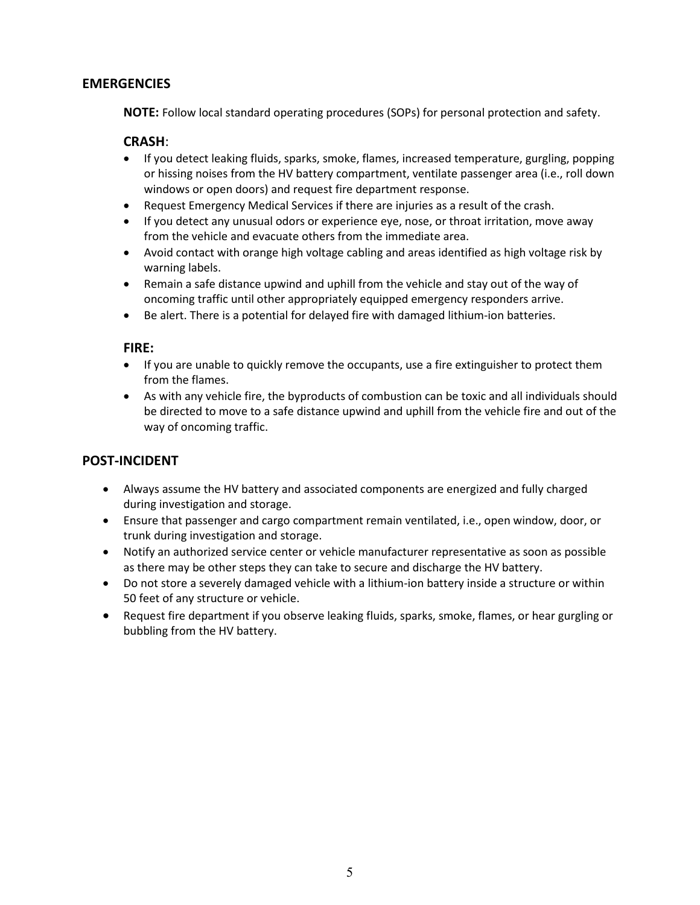#### **EMERGENCIES**

**NOTE:** Follow local standard operating procedures (SOPs) for personal protection and safety.

#### **CRASH**:

- If you detect leaking fluids, sparks, smoke, flames, increased temperature, gurgling, popping or hissing noises from the HV battery compartment, ventilate passenger area (i.e., roll down windows or open doors) and request fire department response.
- Request Emergency Medical Services if there are injuries as a result of the crash.
- If you detect any unusual odors or experience eye, nose, or throat irritation, move away from the vehicle and evacuate others from the immediate area.
- Avoid contact with orange high voltage cabling and areas identified as high voltage risk by warning labels.
- Remain a safe distance upwind and uphill from the vehicle and stay out of the way of oncoming traffic until other appropriately equipped emergency responders arrive.
- Be alert. There is a potential for delayed fire with damaged lithium-ion batteries.

#### **FIRE:**

- If you are unable to quickly remove the occupants, use a fire extinguisher to protect them from the flames.
- As with any vehicle fire, the byproducts of combustion can be toxic and all individuals should be directed to move to a safe distance upwind and uphill from the vehicle fire and out of the way of oncoming traffic.

- Always assume the HV battery and associated components are energized and fully charged during investigation and storage.
- Ensure that passenger and cargo compartment remain ventilated, i.e., open window, door, or trunk during investigation and storage.
- Notify an authorized service center or vehicle manufacturer representative as soon as possible as there may be other steps they can take to secure and discharge the HV battery.
- Do not store a severely damaged vehicle with a lithium-ion battery inside a structure or within 50 feet of any structure or vehicle.
- Request fire department if you observe leaking fluids, sparks, smoke, flames, or hear gurgling or bubbling from the HV battery.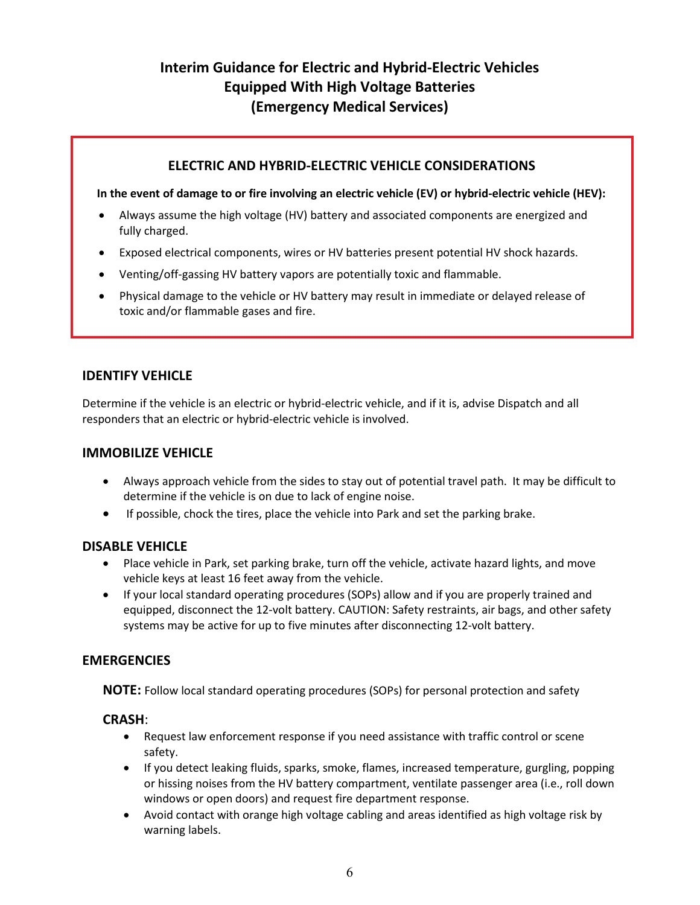# **Interim Guidance for Electric and Hybrid-Electric Vehicles Equipped With High Voltage Batteries (Emergency Medical Services)**

#### **ELECTRIC AND HYBRID-ELECTRIC VEHICLE CONSIDERATIONS**

**In the event of damage to or fire involving an electric vehicle (EV) or hybrid-electric vehicle (HEV):**

- Always assume the high voltage (HV) battery and associated components are energized and fully charged.
- Exposed electrical components, wires or HV batteries present potential HV shock hazards.
- Venting/off-gassing HV battery vapors are potentially toxic and flammable.
- Physical damage to the vehicle or HV battery may result in immediate or delayed release of toxic and/or flammable gases and fire.

#### **IDENTIFY VEHICLE**

Determine if the vehicle is an electric or hybrid-electric vehicle, and if it is, advise Dispatch and all responders that an electric or hybrid-electric vehicle is involved.

#### **IMMOBILIZE VEHICLE**

- Always approach vehicle from the sides to stay out of potential travel path. It may be difficult to determine if the vehicle is on due to lack of engine noise.
- If possible, chock the tires, place the vehicle into Park and set the parking brake.

#### **DISABLE VEHICLE**

- Place vehicle in Park, set parking brake, turn off the vehicle, activate hazard lights, and move vehicle keys at least 16 feet away from the vehicle.
- If your local standard operating procedures (SOPs) allow and if you are properly trained and equipped, disconnect the 12-volt battery. CAUTION: Safety restraints, air bags, and other safety systems may be active for up to five minutes after disconnecting 12-volt battery.

#### **EMERGENCIES**

**NOTE:** Follow local standard operating procedures (SOPs) for personal protection and safety

#### **CRASH**:

- Request law enforcement response if you need assistance with traffic control or scene safety.
- If you detect leaking fluids, sparks, smoke, flames, increased temperature, gurgling, popping or hissing noises from the HV battery compartment, ventilate passenger area (i.e., roll down windows or open doors) and request fire department response.
- Avoid contact with orange high voltage cabling and areas identified as high voltage risk by warning labels.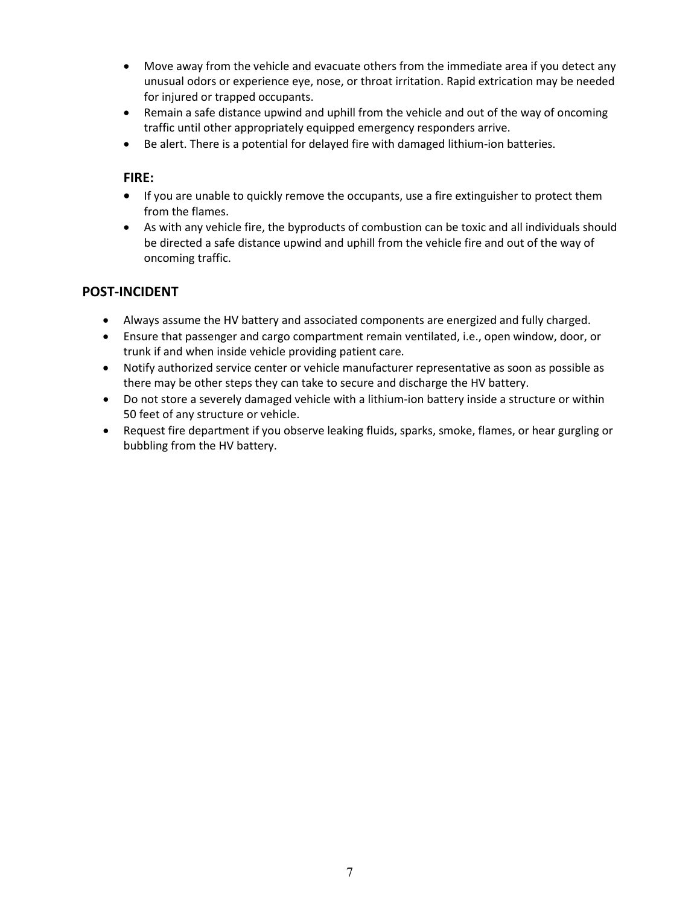- Move away from the vehicle and evacuate others from the immediate area if you detect any unusual odors or experience eye, nose, or throat irritation. Rapid extrication may be needed for injured or trapped occupants.
- Remain a safe distance upwind and uphill from the vehicle and out of the way of oncoming traffic until other appropriately equipped emergency responders arrive.
- Be alert. There is a potential for delayed fire with damaged lithium-ion batteries.

#### **FIRE:**

- If you are unable to quickly remove the occupants, use a fire extinguisher to protect them from the flames.
- As with any vehicle fire, the byproducts of combustion can be toxic and all individuals should be directed a safe distance upwind and uphill from the vehicle fire and out of the way of oncoming traffic.

- Always assume the HV battery and associated components are energized and fully charged.
- Ensure that passenger and cargo compartment remain ventilated, i.e., open window, door, or trunk if and when inside vehicle providing patient care.
- Notify authorized service center or vehicle manufacturer representative as soon as possible as there may be other steps they can take to secure and discharge the HV battery.
- Do not store a severely damaged vehicle with a lithium-ion battery inside a structure or within 50 feet of any structure or vehicle.
- Request fire department if you observe leaking fluids, sparks, smoke, flames, or hear gurgling or bubbling from the HV battery.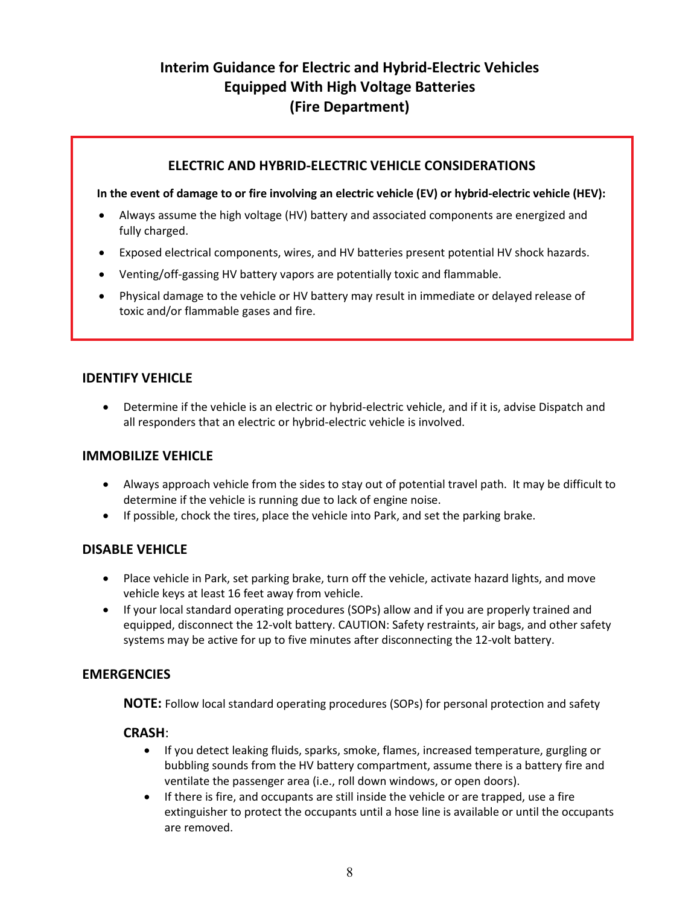# **Interim Guidance for Electric and Hybrid-Electric Vehicles Equipped With High Voltage Batteries (Fire Department)**

#### **ELECTRIC AND HYBRID-ELECTRIC VEHICLE CONSIDERATIONS**

#### **In the event of damage to or fire involving an electric vehicle (EV) or hybrid-electric vehicle (HEV):**

- Always assume the high voltage (HV) battery and associated components are energized and fully charged.
- Exposed electrical components, wires, and HV batteries present potential HV shock hazards.
- Venting/off-gassing HV battery vapors are potentially toxic and flammable.
- Physical damage to the vehicle or HV battery may result in immediate or delayed release of toxic and/or flammable gases and fire.

#### **IDENTIFY VEHICLE**

• Determine if the vehicle is an electric or hybrid-electric vehicle, and if it is, advise Dispatch and all responders that an electric or hybrid-electric vehicle is involved.

#### **IMMOBILIZE VEHICLE**

- Always approach vehicle from the sides to stay out of potential travel path. It may be difficult to determine if the vehicle is running due to lack of engine noise.
- If possible, chock the tires, place the vehicle into Park, and set the parking brake.

#### **DISABLE VEHICLE**

- Place vehicle in Park, set parking brake, turn off the vehicle, activate hazard lights, and move vehicle keys at least 16 feet away from vehicle.
- If your local standard operating procedures (SOPs) allow and if you are properly trained and equipped, disconnect the 12-volt battery. CAUTION: Safety restraints, air bags, and other safety systems may be active for up to five minutes after disconnecting the 12-volt battery.

#### **EMERGENCIES**

**NOTE:** Follow local standard operating procedures (SOPs) for personal protection and safety

#### **CRASH**:

- If you detect leaking fluids, sparks, smoke, flames, increased temperature, gurgling or bubbling sounds from the HV battery compartment, assume there is a battery fire and ventilate the passenger area (i.e., roll down windows, or open doors).
- If there is fire, and occupants are still inside the vehicle or are trapped, use a fire extinguisher to protect the occupants until a hose line is available or until the occupants are removed.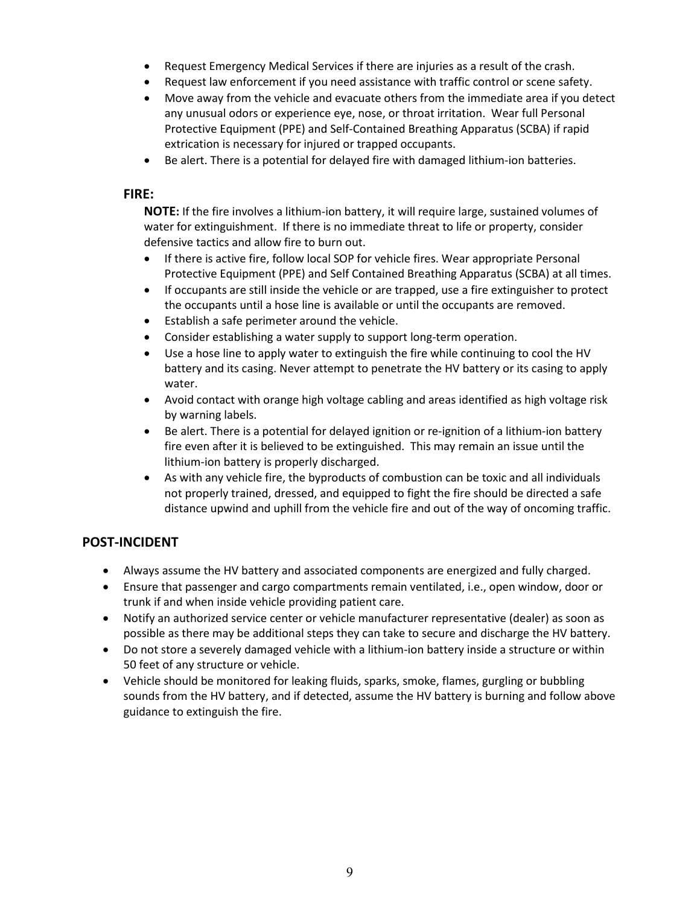- Request Emergency Medical Services if there are injuries as a result of the crash.
- Request law enforcement if you need assistance with traffic control or scene safety.
- Move away from the vehicle and evacuate others from the immediate area if you detect any unusual odors or experience eye, nose, or throat irritation. Wear full Personal Protective Equipment (PPE) and Self-Contained Breathing Apparatus (SCBA) if rapid extrication is necessary for injured or trapped occupants.
- Be alert. There is a potential for delayed fire with damaged lithium-ion batteries.

#### **FIRE:**

**NOTE:** If the fire involves a lithium-ion battery, it will require large, sustained volumes of water for extinguishment. If there is no immediate threat to life or property, consider defensive tactics and allow fire to burn out.

- If there is active fire, follow local SOP for vehicle fires. Wear appropriate Personal Protective Equipment (PPE) and Self Contained Breathing Apparatus (SCBA) at all times.
- If occupants are still inside the vehicle or are trapped, use a fire extinguisher to protect the occupants until a hose line is available or until the occupants are removed.
- Establish a safe perimeter around the vehicle.
- Consider establishing a water supply to support long-term operation.
- Use a hose line to apply water to extinguish the fire while continuing to cool the HV battery and its casing. Never attempt to penetrate the HV battery or its casing to apply water.
- Avoid contact with orange high voltage cabling and areas identified as high voltage risk by warning labels.
- Be alert. There is a potential for delayed ignition or re-ignition of a lithium-ion battery fire even after it is believed to be extinguished. This may remain an issue until the lithium-ion battery is properly discharged.
- As with any vehicle fire, the byproducts of combustion can be toxic and all individuals not properly trained, dressed, and equipped to fight the fire should be directed a safe distance upwind and uphill from the vehicle fire and out of the way of oncoming traffic.

- Always assume the HV battery and associated components are energized and fully charged.
- Ensure that passenger and cargo compartments remain ventilated, i.e., open window, door or trunk if and when inside vehicle providing patient care.
- Notify an authorized service center or vehicle manufacturer representative (dealer) as soon as possible as there may be additional steps they can take to secure and discharge the HV battery.
- Do not store a severely damaged vehicle with a lithium-ion battery inside a structure or within 50 feet of any structure or vehicle.
- Vehicle should be monitored for leaking fluids, sparks, smoke, flames, gurgling or bubbling sounds from the HV battery, and if detected, assume the HV battery is burning and follow above guidance to extinguish the fire.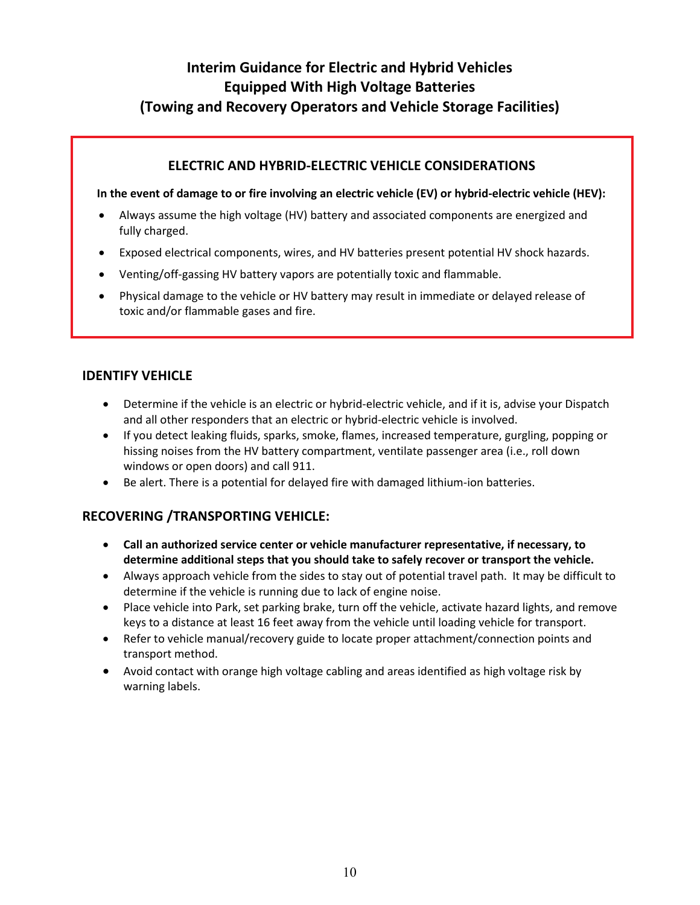# **Interim Guidance for Electric and Hybrid Vehicles Equipped With High Voltage Batteries (Towing and Recovery Operators and Vehicle Storage Facilities)**

#### **ELECTRIC AND HYBRID-ELECTRIC VEHICLE CONSIDERATIONS**

**In the event of damage to or fire involving an electric vehicle (EV) or hybrid-electric vehicle (HEV):**

- Always assume the high voltage (HV) battery and associated components are energized and fully charged.
- Exposed electrical components, wires, and HV batteries present potential HV shock hazards.
- Venting/off-gassing HV battery vapors are potentially toxic and flammable.
- Physical damage to the vehicle or HV battery may result in immediate or delayed release of toxic and/or flammable gases and fire.

#### **IDENTIFY VEHICLE**

- Determine if the vehicle is an electric or hybrid-electric vehicle, and if it is, advise your Dispatch and all other responders that an electric or hybrid-electric vehicle is involved.
- If you detect leaking fluids, sparks, smoke, flames, increased temperature, gurgling, popping or hissing noises from the HV battery compartment, ventilate passenger area (i.e., roll down windows or open doors) and call 911.
- Be alert. There is a potential for delayed fire with damaged lithium-ion batteries.

## **RECOVERING /TRANSPORTING VEHICLE:**

- **Call an authorized service center or vehicle manufacturer representative, if necessary, to determine additional steps that you should take to safely recover or transport the vehicle.**
- Always approach vehicle from the sides to stay out of potential travel path. It may be difficult to determine if the vehicle is running due to lack of engine noise.
- Place vehicle into Park, set parking brake, turn off the vehicle, activate hazard lights, and remove keys to a distance at least 16 feet away from the vehicle until loading vehicle for transport.
- Refer to vehicle manual/recovery guide to locate proper attachment/connection points and transport method.
- Avoid contact with orange high voltage cabling and areas identified as high voltage risk by warning labels.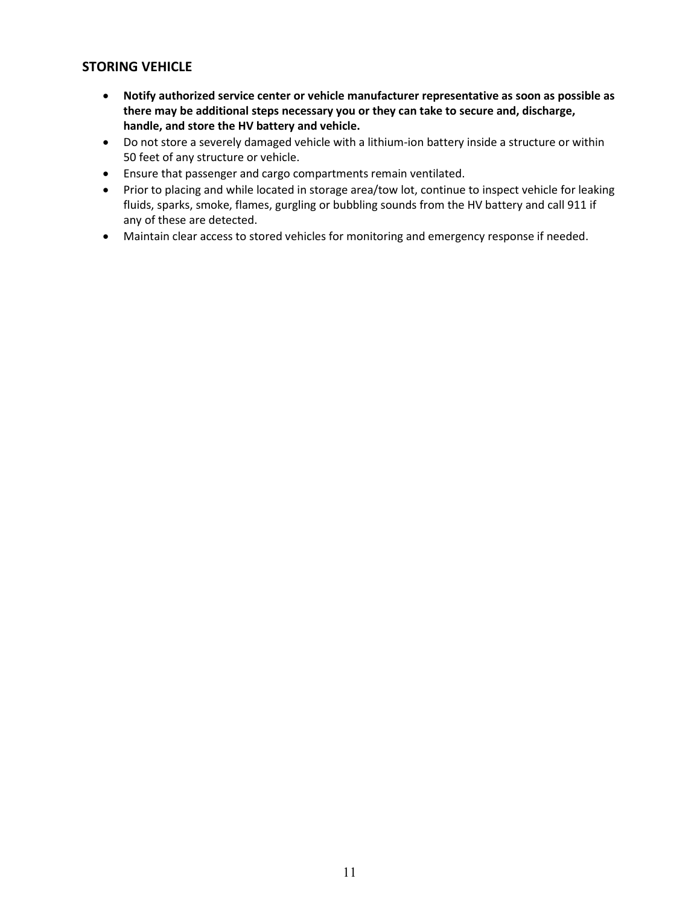### **STORING VEHICLE**

- **Notify authorized service center or vehicle manufacturer representative as soon as possible as there may be additional steps necessary you or they can take to secure and, discharge, handle, and store the HV battery and vehicle.**
- Do not store a severely damaged vehicle with a lithium-ion battery inside a structure or within 50 feet of any structure or vehicle.
- Ensure that passenger and cargo compartments remain ventilated.
- Prior to placing and while located in storage area/tow lot, continue to inspect vehicle for leaking fluids, sparks, smoke, flames, gurgling or bubbling sounds from the HV battery and call 911 if any of these are detected.
- Maintain clear access to stored vehicles for monitoring and emergency response if needed.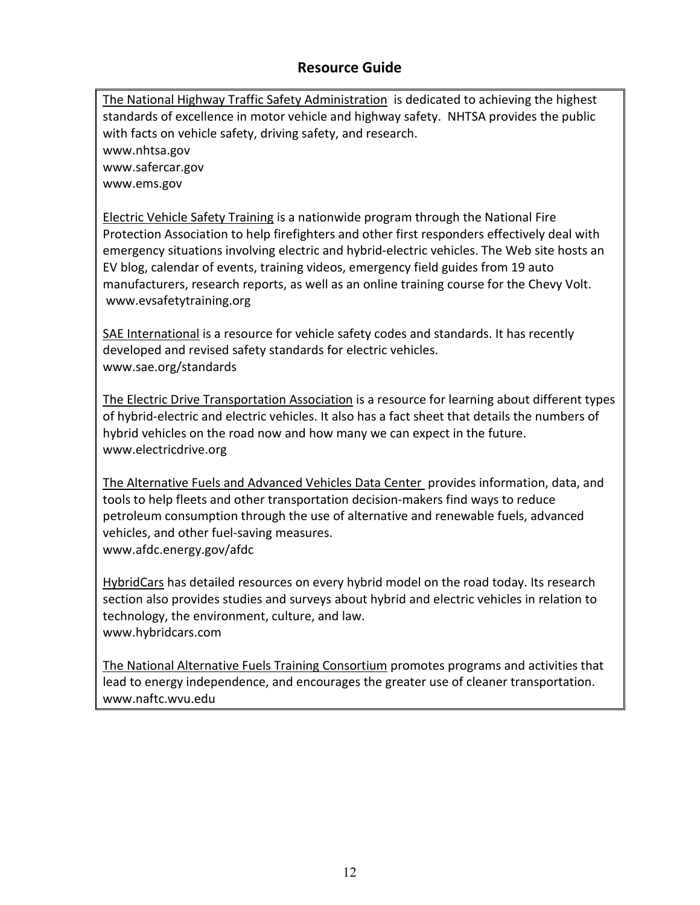# **Resource Guide**

[The National Highway Traffic Safety Administration](http://www.nhtsa.gov/) is dedicated to achieving the highest standards of excellence in motor vehicle and highway safety. NHTSA provides the public with facts on vehicle safety, driving safety, and research. [www.nhtsa.gov](http://www.nhtsa.gov/) [www.safercar.gov](http://www.safercar.gov/)

[www.ems.gov](http://www.ems.gov/)

**[Electric Vehicle Safety Training](http://evsafetytraining.org/Training.aspx) is a nationwide program through the National Fire** Protection Association to help firefighters and other first responders effectively deal with emergency situations involving electric and hybrid-electric vehicles. The Web site hosts an EV blog, calendar of events, training videos, emergency field guides from 19 auto manufacturers, research reports, as well as an online training course for the Chevy Volt. [www.evsafetytraining.org](http://www.evsafetytraining.org/)

[SAE International](http://www.sae.org/standards/) is a resource for vehicle safety codes and standards. It has recently developed and revised safety standards for electric vehicles. [www.sae.org/standards](http://www.sae.org/standards)

[The Electric Drive Transportation Association](http://www.electricdrive.org/) is a resource for learning about different types of hybrid-electric and electric vehicles. It also has a [fact sheet](http://electricdrive.org/index.php?ht=a/GetDocumentAction/i/15373) that details the numbers of hybrid vehicles on the road now and how many we can expect in the future. [www.electricdrive.org](http://www.electricdrive.org/)

The Alternative Fuels and Advanced Vehicles Data Center provides information, data, and tools to help fleets and other transportation decision-makers find ways to reduce petroleum consumption through the use of alternative and [renewable fuels,](http://www.afdc.energy.gov/afdc/fuels/index.html) advanced vehicles, and other fuel-saving measures. [www.afdc.energy.gov/afdc](http://www.afdc.energy.gov/afdc)

[HybridCars](http://hybridcars.com/) has detailed resources on every hybrid model on the road today. Its research [section](http://hybridcars.com/hybrid-research) also provides studies and surveys about hybrid and electric vehicles in relation to technology, the environment, culture, and law. [www.hybridcars.com](http://www.hybridcars.com/)

[The National Alternative Fuels Training Consortium](http://www.naftc.wvu.edu/) promotes programs and activities that lead to energy independence, and encourages the greater use of cleaner transportation. [www.naftc.wvu.edu](http://www.naftc.wvu.edu/)